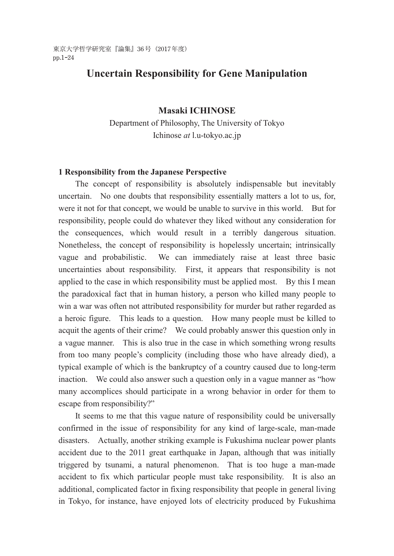東京大学哲学研究室『論集』36号(2017年度) pp.1-24

# **Uncertain Responsibility for Gene Manipulation**

# **Masaki ICHINOSE**

Department of Philosophy, The University of Tokyo Ichinose *at* l.u-tokyo.ac.jp

#### **1 Responsibility from the Japanese Perspective**

 The concept of responsibility is absolutely indispensable but inevitably uncertain. No one doubts that responsibility essentially matters a lot to us, for, were it not for that concept, we would be unable to survive in this world. But for responsibility, people could do whatever they liked without any consideration for the consequences, which would result in a terribly dangerous situation. Nonetheless, the concept of responsibility is hopelessly uncertain; intrinsically vague and probabilistic. We can immediately raise at least three basic uncertainties about responsibility. First, it appears that responsibility is not applied to the case in which responsibility must be applied most. By this I mean the paradoxical fact that in human history, a person who killed many people to win a war was often not attributed responsibility for murder but rather regarded as a heroic figure. This leads to a question. How many people must be killed to acquit the agents of their crime? We could probably answer this question only in a vague manner. This is also true in the case in which something wrong results from too many people's complicity (including those who have already died), a typical example of which is the bankruptcy of a country caused due to long-term inaction. We could also answer such a question only in a vague manner as "how many accomplices should participate in a wrong behavior in order for them to escape from responsibility?"

It seems to me that this vague nature of responsibility could be universally confirmed in the issue of responsibility for any kind of large-scale, man-made disasters. Actually, another striking example is Fukushima nuclear power plants accident due to the 2011 great earthquake in Japan, although that was initially triggered by tsunami, a natural phenomenon. That is too huge a man-made accident to fix which particular people must take responsibility. It is also an additional, complicated factor in fixing responsibility that people in general living in Tokyo, for instance, have enjoyed lots of electricity produced by Fukushima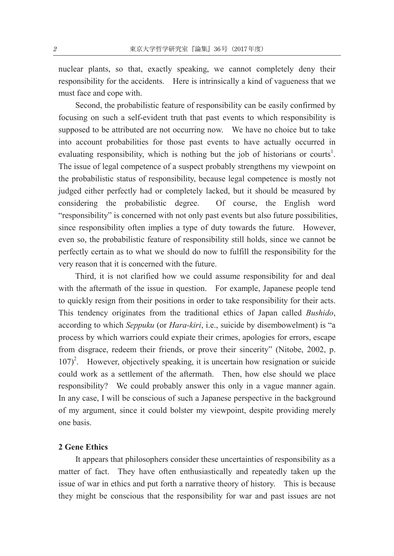nuclear plants, so that, exactly speaking, we cannot completely deny their responsibility for the accidents. Here is intrinsically a kind of vagueness that we must face and cope with.

 Second, the probabilistic feature of responsibility can be easily confirmed by focusing on such a self-evident truth that past events to which responsibility is supposed to be attributed are not occurring now. We have no choice but to take into account probabilities for those past events to have actually occurred in evaluating responsibility, which is nothing but the job of historians or courts<sup>1</sup>. The issue of legal competence of a suspect probably strengthens my viewpoint on the probabilistic status of responsibility, because legal competence is mostly not judged either perfectly had or completely lacked, but it should be measured by considering the probabilistic degree. Of course, the English word "responsibility" is concerned with not only past events but also future possibilities, since responsibility often implies a type of duty towards the future. However, even so, the probabilistic feature of responsibility still holds, since we cannot be perfectly certain as to what we should do now to fulfill the responsibility for the very reason that it is concerned with the future.

 Third, it is not clarified how we could assume responsibility for and deal with the aftermath of the issue in question. For example, Japanese people tend to quickly resign from their positions in order to take responsibility for their acts. This tendency originates from the traditional ethics of Japan called *Bushido*, according to which *Seppuku* (or *Hara-kiri*, i.e., suicide by disembowelment) is "a process by which warriors could expiate their crimes, apologies for errors, escape from disgrace, redeem their friends, or prove their sincerity" (Nitobe, 2002, p. 107)<sup>2</sup>. However, objectively speaking, it is uncertain how resignation or suicide could work as a settlement of the aftermath. Then, how else should we place responsibility? We could probably answer this only in a vague manner again. In any case, I will be conscious of such a Japanese perspective in the background of my argument, since it could bolster my viewpoint, despite providing merely one basis.

#### **2 Gene Ethics**

It appears that philosophers consider these uncertainties of responsibility as a matter of fact. They have often enthusiastically and repeatedly taken up the issue of war in ethics and put forth a narrative theory of history. This is because they might be conscious that the responsibility for war and past issues are not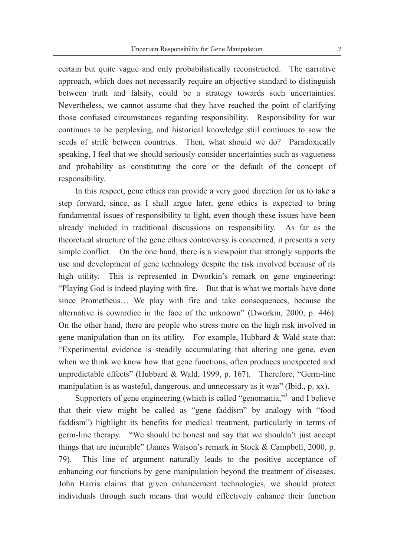certain but quite vague and only probabilistically reconstructed. The narrative approach, which does not necessarily require an objective standard to distinguish between truth and falsity, could be a strategy towards such uncertainties. Nevertheless, we cannot assume that they have reached the point of clarifying those confused circumstances regarding responsibility. Responsibility for war continues to be perplexing, and historical knowledge still continues to sow the seeds of strife between countries. Then, what should we do? Paradoxically speaking, I feel that we should seriously consider uncertainties such as vagueness and probability as constituting the core or the default of the concept of responsibility.

 In this respect, gene ethics can provide a very good direction for us to take a step forward, since, as I shall argue later, gene ethics is expected to bring fundamental issues of responsibility to light, even though these issues have been already included in traditional discussions on responsibility. As far as the theoretical structure of the gene ethics controversy is concerned, it presents a very simple conflict. On the one hand, there is a viewpoint that strongly supports the use and development of gene technology despite the risk involved because of its high utility. This is represented in Dworkin's remark on gene engineering: "Playing God is indeed playing with fire. But that is what we mortals have done since Prometheus… We play with fire and take consequences, because the alternative is cowardice in the face of the unknown" (Dworkin, 2000, p. 446). On the other hand, there are people who stress more on the high risk involved in gene manipulation than on its utility. For example, Hubbard  $\&$  Wald state that: "Experimental evidence is steadily accumulating that altering one gene, even when we think we know how that gene functions, often produces unexpected and unpredictable effects" (Hubbard & Wald, 1999, p. 167). Therefore, "Germ-line manipulation is as wasteful, dangerous, and unnecessary as it was" (Ibid., p. xx).

Supporters of gene engineering (which is called "genomania,"<sup>3</sup> and I believe that their view might be called as "gene faddism" by analogy with "food faddism") highlight its benefits for medical treatment, particularly in terms of germ-line therapy. "We should be honest and say that we shouldn't just accept things that are incurable" (James Watson's remark in Stock & Campbell, 2000, p. 79). This line of argument naturally leads to the positive acceptance of enhancing our functions by gene manipulation beyond the treatment of diseases. John Harris claims that given enhancement technologies, we should protect individuals through such means that would effectively enhance their function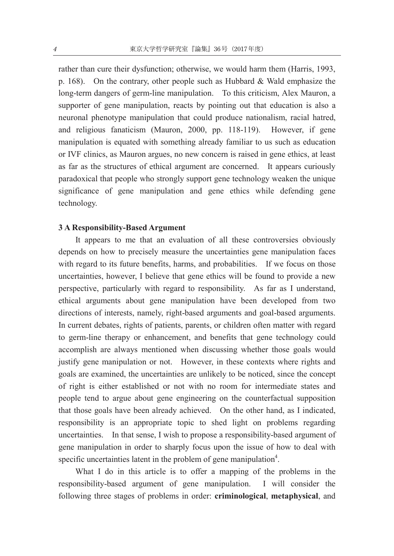rather than cure their dysfunction; otherwise, we would harm them (Harris, 1993, p. 168). On the contrary, other people such as Hubbard  $\&$  Wald emphasize the long-term dangers of germ-line manipulation. To this criticism, Alex Mauron, a supporter of gene manipulation, reacts by pointing out that education is also a neuronal phenotype manipulation that could produce nationalism, racial hatred, and religious fanaticism (Mauron, 2000, pp. 118-119). However, if gene manipulation is equated with something already familiar to us such as education or IVF clinics, as Mauron argues, no new concern is raised in gene ethics, at least as far as the structures of ethical argument are concerned. It appears curiously paradoxical that people who strongly support gene technology weaken the unique significance of gene manipulation and gene ethics while defending gene technology.

# **3 A Responsibility-Based Argument**

It appears to me that an evaluation of all these controversies obviously depends on how to precisely measure the uncertainties gene manipulation faces with regard to its future benefits, harms, and probabilities. If we focus on those uncertainties, however, I believe that gene ethics will be found to provide a new perspective, particularly with regard to responsibility. As far as I understand, ethical arguments about gene manipulation have been developed from two directions of interests, namely, right-based arguments and goal-based arguments. In current debates, rights of patients, parents, or children often matter with regard to germ-line therapy or enhancement, and benefits that gene technology could accomplish are always mentioned when discussing whether those goals would justify gene manipulation or not. However, in these contexts where rights and goals are examined, the uncertainties are unlikely to be noticed, since the concept of right is either established or not with no room for intermediate states and people tend to argue about gene engineering on the counterfactual supposition that those goals have been already achieved. On the other hand, as I indicated, responsibility is an appropriate topic to shed light on problems regarding uncertainties. In that sense, I wish to propose a responsibility-based argument of gene manipulation in order to sharply focus upon the issue of how to deal with specific uncertainties latent in the problem of gene manipulation<sup>4</sup>.

 What I do in this article is to offer a mapping of the problems in the responsibility-based argument of gene manipulation. I will consider the following three stages of problems in order: **criminological**, **metaphysical**, and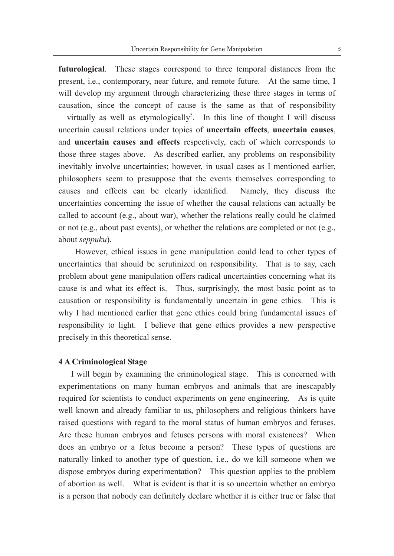**futurological**. These stages correspond to three temporal distances from the present, i.e., contemporary, near future, and remote future. At the same time, I will develop my argument through characterizing these three stages in terms of causation, since the concept of cause is the same as that of responsibility  $-$ virtually as well as etymologically<sup>5</sup>. In this line of thought I will discuss uncertain causal relations under topics of **uncertain effects**, **uncertain causes**, and **uncertain causes and effects** respectively, each of which corresponds to those three stages above. As described earlier, any problems on responsibility inevitably involve uncertainties; however, in usual cases as I mentioned earlier, philosophers seem to presuppose that the events themselves corresponding to causes and effects can be clearly identified. Namely, they discuss the uncertainties concerning the issue of whether the causal relations can actually be called to account (e.g., about war), whether the relations really could be claimed or not (e.g., about past events), or whether the relations are completed or not (e.g., about *seppuku*).

However, ethical issues in gene manipulation could lead to other types of uncertainties that should be scrutinized on responsibility. That is to say, each problem about gene manipulation offers radical uncertainties concerning what its cause is and what its effect is. Thus, surprisingly, the most basic point as to causation or responsibility is fundamentally uncertain in gene ethics. This is why I had mentioned earlier that gene ethics could bring fundamental issues of responsibility to light. I believe that gene ethics provides a new perspective precisely in this theoretical sense.

# **4 A Criminological Stage**

 I will begin by examining the criminological stage. This is concerned with experimentations on many human embryos and animals that are inescapably required for scientists to conduct experiments on gene engineering. As is quite well known and already familiar to us, philosophers and religious thinkers have raised questions with regard to the moral status of human embryos and fetuses. Are these human embryos and fetuses persons with moral existences? When does an embryo or a fetus become a person? These types of questions are naturally linked to another type of question, i.e., do we kill someone when we dispose embryos during experimentation? This question applies to the problem of abortion as well. What is evident is that it is so uncertain whether an embryo is a person that nobody can definitely declare whether it is either true or false that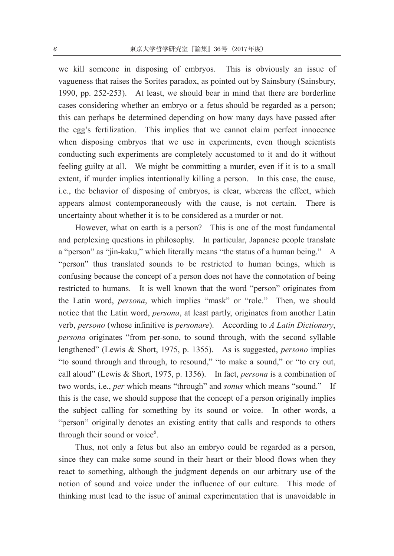we kill someone in disposing of embryos. This is obviously an issue of vagueness that raises the Sorites paradox, as pointed out by Sainsbury (Sainsbury, 1990, pp. 252-253). At least, we should bear in mind that there are borderline cases considering whether an embryo or a fetus should be regarded as a person; this can perhaps be determined depending on how many days have passed after the egg's fertilization. This implies that we cannot claim perfect innocence when disposing embryos that we use in experiments, even though scientists conducting such experiments are completely accustomed to it and do it without feeling guilty at all. We might be committing a murder, even if it is to a small extent, if murder implies intentionally killing a person. In this case, the cause, i.e., the behavior of disposing of embryos, is clear, whereas the effect, which appears almost contemporaneously with the cause, is not certain. There is uncertainty about whether it is to be considered as a murder or not.

 However, what on earth is a person? This is one of the most fundamental and perplexing questions in philosophy. In particular, Japanese people translate a "person" as "jin-kaku," which literally means "the status of a human being." A "person" thus translated sounds to be restricted to human beings, which is confusing because the concept of a person does not have the connotation of being restricted to humans. It is well known that the word "person" originates from the Latin word, *persona*, which implies "mask" or "role." Then, we should notice that the Latin word, *persona*, at least partly, originates from another Latin verb, *persono* (whose infinitive is *personare*). According to *A Latin Dictionary*, *persona* originates "from per-sono, to sound through, with the second syllable lengthened" (Lewis & Short, 1975, p. 1355). As is suggested, *persono* implies "to sound through and through, to resound," "to make a sound," or "to cry out, call aloud" (Lewis & Short, 1975, p. 1356). In fact, *persona* is a combination of two words, i.e., *per* which means "through" and *sonus* which means "sound." If this is the case, we should suppose that the concept of a person originally implies the subject calling for something by its sound or voice. In other words, a "person" originally denotes an existing entity that calls and responds to others through their sound or voice<sup>6</sup>.

Thus, not only a fetus but also an embryo could be regarded as a person, since they can make some sound in their heart or their blood flows when they react to something, although the judgment depends on our arbitrary use of the notion of sound and voice under the influence of our culture. This mode of thinking must lead to the issue of animal experimentation that is unavoidable in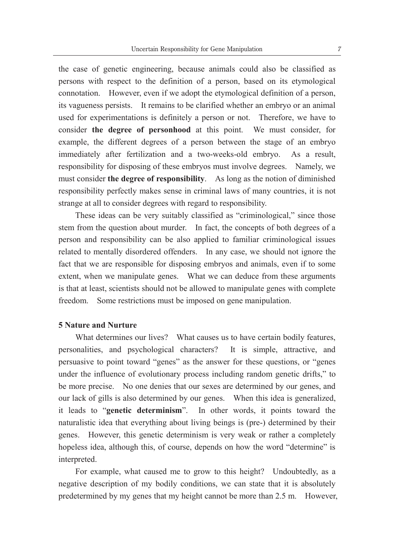the case of genetic engineering, because animals could also be classified as persons with respect to the definition of a person, based on its etymological connotation. However, even if we adopt the etymological definition of a person, its vagueness persists. It remains to be clarified whether an embryo or an animal used for experimentations is definitely a person or not. Therefore, we have to consider **the degree of personhood** at this point. We must consider, for example, the different degrees of a person between the stage of an embryo immediately after fertilization and a two-weeks-old embryo. As a result, responsibility for disposing of these embryos must involve degrees. Namely, we must consider **the degree of responsibility**. As long as the notion of diminished responsibility perfectly makes sense in criminal laws of many countries, it is not strange at all to consider degrees with regard to responsibility.

These ideas can be very suitably classified as "criminological," since those stem from the question about murder. In fact, the concepts of both degrees of a person and responsibility can be also applied to familiar criminological issues related to mentally disordered offenders. In any case, we should not ignore the fact that we are responsible for disposing embryos and animals, even if to some extent, when we manipulate genes. What we can deduce from these arguments is that at least, scientists should not be allowed to manipulate genes with complete freedom. Some restrictions must be imposed on gene manipulation.

# **5 Nature and Nurture**

What determines our lives? What causes us to have certain bodily features, personalities, and psychological characters? It is simple, attractive, and persuasive to point toward "genes" as the answer for these questions, or "genes under the influence of evolutionary process including random genetic drifts," to be more precise. No one denies that our sexes are determined by our genes, and our lack of gills is also determined by our genes. When this idea is generalized, it leads to "**genetic determinism**". In other words, it points toward the naturalistic idea that everything about living beings is (pre-) determined by their genes. However, this genetic determinism is very weak or rather a completely hopeless idea, although this, of course, depends on how the word "determine" is interpreted.

 For example, what caused me to grow to this height? Undoubtedly, as a negative description of my bodily conditions, we can state that it is absolutely predetermined by my genes that my height cannot be more than 2.5 m. However,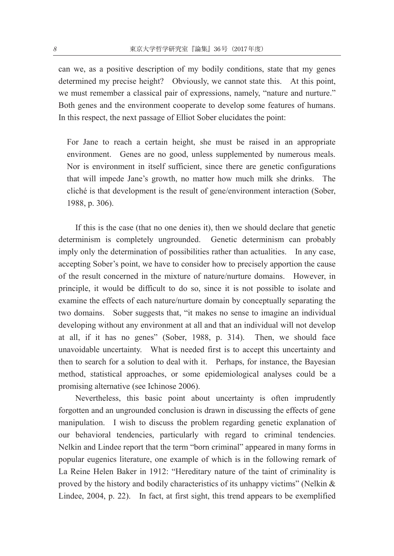can we, as a positive description of my bodily conditions, state that my genes determined my precise height? Obviously, we cannot state this. At this point, we must remember a classical pair of expressions, namely, "nature and nurture." Both genes and the environment cooperate to develop some features of humans. In this respect, the next passage of Elliot Sober elucidates the point:

 For Jane to reach a certain height, she must be raised in an appropriate environment. Genes are no good, unless supplemented by numerous meals. Nor is environment in itself sufficient, since there are genetic configurations that will impede Jane's growth, no matter how much milk she drinks. The cliché is that development is the result of gene/environment interaction (Sober, 1988, p. 306).

If this is the case (that no one denies it), then we should declare that genetic determinism is completely ungrounded. Genetic determinism can probably imply only the determination of possibilities rather than actualities. In any case, accepting Sober's point, we have to consider how to precisely apportion the cause of the result concerned in the mixture of nature/nurture domains. However, in principle, it would be difficult to do so, since it is not possible to isolate and examine the effects of each nature/nurture domain by conceptually separating the two domains. Sober suggests that, "it makes no sense to imagine an individual developing without any environment at all and that an individual will not develop at all, if it has no genes" (Sober, 1988, p. 314). Then, we should face unavoidable uncertainty. What is needed first is to accept this uncertainty and then to search for a solution to deal with it. Perhaps, for instance, the Bayesian method, statistical approaches, or some epidemiological analyses could be a promising alternative (see Ichinose 2006).

 Nevertheless, this basic point about uncertainty is often imprudently forgotten and an ungrounded conclusion is drawn in discussing the effects of gene manipulation. I wish to discuss the problem regarding genetic explanation of our behavioral tendencies, particularly with regard to criminal tendencies. Nelkin and Lindee report that the term "born criminal" appeared in many forms in popular eugenics literature, one example of which is in the following remark of La Reine Helen Baker in 1912: "Hereditary nature of the taint of criminality is proved by the history and bodily characteristics of its unhappy victims" (Nelkin  $\&$ Lindee, 2004, p. 22). In fact, at first sight, this trend appears to be exemplified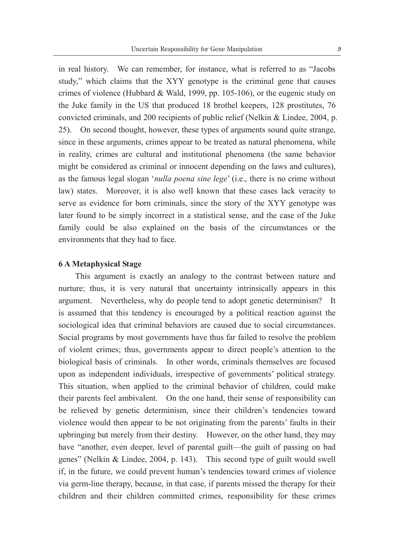in real history. We can remember, for instance, what is referred to as "Jacobs study," which claims that the XYY genotype is the criminal gene that causes crimes of violence (Hubbard & Wald, 1999, pp. 105-106), or the eugenic study on the Juke family in the US that produced 18 brothel keepers, 128 prostitutes, 76 convicted criminals, and 200 recipients of public relief (Nelkin & Lindee, 2004, p. 25). On second thought, however, these types of arguments sound quite strange, since in these arguments, crimes appear to be treated as natural phenomena, while in reality, crimes are cultural and institutional phenomena (the same behavior might be considered as criminal or innocent depending on the laws and cultures), as the famous legal slogan '*nulla poena sine lege*' (i.e., there is no crime without law) states. Moreover, it is also well known that these cases lack veracity to serve as evidence for born criminals, since the story of the XYY genotype was later found to be simply incorrect in a statistical sense, and the case of the Juke family could be also explained on the basis of the circumstances or the environments that they had to face.

# **6 A Metaphysical Stage**

 This argument is exactly an analogy to the contrast between nature and nurture; thus, it is very natural that uncertainty intrinsically appears in this argument. Nevertheless, why do people tend to adopt genetic determinism? It is assumed that this tendency is encouraged by a political reaction against the sociological idea that criminal behaviors are caused due to social circumstances. Social programs by most governments have thus far failed to resolve the problem of violent crimes; thus, governments appear to direct people's attention to the biological basis of criminals. In other words, criminals themselves are focused upon as independent individuals, irrespective of governments' political strategy. This situation, when applied to the criminal behavior of children, could make their parents feel ambivalent. On the one hand, their sense of responsibility can be relieved by genetic determinism, since their children's tendencies toward violence would then appear to be not originating from the parents' faults in their upbringing but merely from their destiny. However, on the other hand, they may have "another, even deeper, level of parental guilt—the guilt of passing on bad genes" (Nelkin & Lindee, 2004, p. 143). This second type of guilt would swell if, in the future, we could prevent human's tendencies toward crimes of violence via germ-line therapy, because, in that case, if parents missed the therapy for their children and their children committed crimes, responsibility for these crimes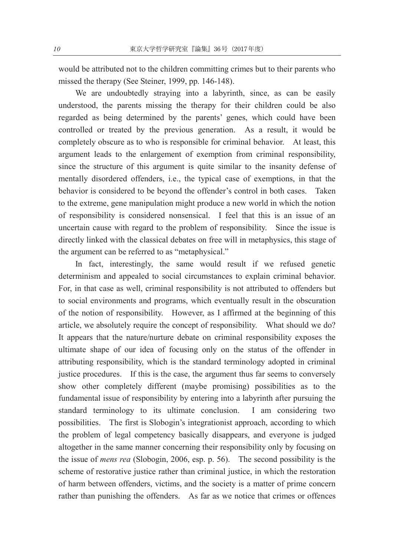would be attributed not to the children committing crimes but to their parents who missed the therapy (See Steiner, 1999, pp. 146-148).

 We are undoubtedly straying into a labyrinth, since, as can be easily understood, the parents missing the therapy for their children could be also regarded as being determined by the parents' genes, which could have been controlled or treated by the previous generation. As a result, it would be completely obscure as to who is responsible for criminal behavior. At least, this argument leads to the enlargement of exemption from criminal responsibility, since the structure of this argument is quite similar to the insanity defense of mentally disordered offenders, i.e., the typical case of exemptions, in that the behavior is considered to be beyond the offender's control in both cases. Taken to the extreme, gene manipulation might produce a new world in which the notion of responsibility is considered nonsensical. I feel that this is an issue of an uncertain cause with regard to the problem of responsibility. Since the issue is directly linked with the classical debates on free will in metaphysics, this stage of the argument can be referred to as "metaphysical."

 In fact, interestingly, the same would result if we refused genetic determinism and appealed to social circumstances to explain criminal behavior. For, in that case as well, criminal responsibility is not attributed to offenders but to social environments and programs, which eventually result in the obscuration of the notion of responsibility. However, as I affirmed at the beginning of this article, we absolutely require the concept of responsibility. What should we do? It appears that the nature/nurture debate on criminal responsibility exposes the ultimate shape of our idea of focusing only on the status of the offender in attributing responsibility, which is the standard terminology adopted in criminal justice procedures. If this is the case, the argument thus far seems to conversely show other completely different (maybe promising) possibilities as to the fundamental issue of responsibility by entering into a labyrinth after pursuing the standard terminology to its ultimate conclusion. I am considering two possibilities. The first is Slobogin's integrationist approach, according to which the problem of legal competency basically disappears, and everyone is judged altogether in the same manner concerning their responsibility only by focusing on the issue of *mens rea* (Slobogin, 2006, esp. p. 56). The second possibility is the scheme of restorative justice rather than criminal justice, in which the restoration of harm between offenders, victims, and the society is a matter of prime concern rather than punishing the offenders. As far as we notice that crimes or offences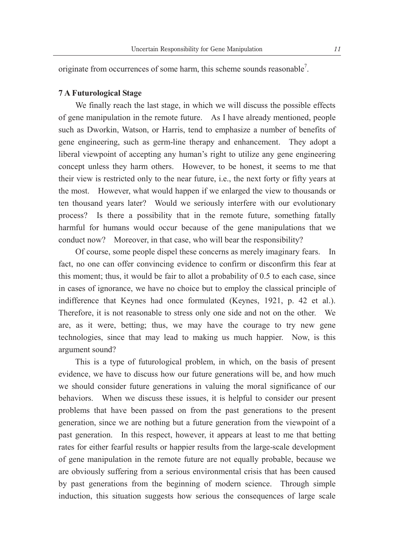originate from occurrences of some harm, this scheme sounds reasonable<sup>7</sup>.

# **7 A Futurological Stage**

 We finally reach the last stage, in which we will discuss the possible effects of gene manipulation in the remote future. As I have already mentioned, people such as Dworkin, Watson, or Harris, tend to emphasize a number of benefits of gene engineering, such as germ-line therapy and enhancement. They adopt a liberal viewpoint of accepting any human's right to utilize any gene engineering concept unless they harm others. However, to be honest, it seems to me that their view is restricted only to the near future, i.e., the next forty or fifty years at the most. However, what would happen if we enlarged the view to thousands or ten thousand years later? Would we seriously interfere with our evolutionary process? Is there a possibility that in the remote future, something fatally harmful for humans would occur because of the gene manipulations that we conduct now? Moreover, in that case, who will bear the responsibility?

 Of course, some people dispel these concerns as merely imaginary fears. In fact, no one can offer convincing evidence to confirm or disconfirm this fear at this moment; thus, it would be fair to allot a probability of 0.5 to each case, since in cases of ignorance, we have no choice but to employ the classical principle of indifference that Keynes had once formulated (Keynes, 1921, p. 42 et al.). Therefore, it is not reasonable to stress only one side and not on the other. We are, as it were, betting; thus, we may have the courage to try new gene technologies, since that may lead to making us much happier. Now, is this argument sound?

 This is a type of futurological problem, in which, on the basis of present evidence, we have to discuss how our future generations will be, and how much we should consider future generations in valuing the moral significance of our behaviors. When we discuss these issues, it is helpful to consider our present problems that have been passed on from the past generations to the present generation, since we are nothing but a future generation from the viewpoint of a past generation. In this respect, however, it appears at least to me that betting rates for either fearful results or happier results from the large-scale development of gene manipulation in the remote future are not equally probable, because we are obviously suffering from a serious environmental crisis that has been caused by past generations from the beginning of modern science. Through simple induction, this situation suggests how serious the consequences of large scale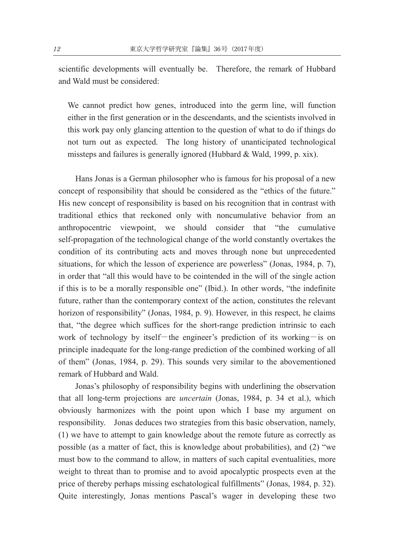scientific developments will eventually be. Therefore, the remark of Hubbard and Wald must be considered:

We cannot predict how genes, introduced into the germ line, will function either in the first generation or in the descendants, and the scientists involved in this work pay only glancing attention to the question of what to do if things do not turn out as expected. The long history of unanticipated technological missteps and failures is generally ignored (Hubbard & Wald, 1999, p. xix).

 Hans Jonas is a German philosopher who is famous for his proposal of a new concept of responsibility that should be considered as the "ethics of the future." His new concept of responsibility is based on his recognition that in contrast with traditional ethics that reckoned only with noncumulative behavior from an anthropocentric viewpoint, we should consider that "the cumulative self-propagation of the technological change of the world constantly overtakes the condition of its contributing acts and moves through none but unprecedented situations, for which the lesson of experience are powerless" (Jonas, 1984, p. 7), in order that "all this would have to be cointended in the will of the single action if this is to be a morally responsible one" (Ibid.). In other words, "the indefinite future, rather than the contemporary context of the action, constitutes the relevant horizon of responsibility" (Jonas, 1984, p. 9). However, in this respect, he claims that, "the degree which suffices for the short-range prediction intrinsic to each work of technology by itself—the engineer's prediction of its working—is on principle inadequate for the long-range prediction of the combined working of all of them" (Jonas, 1984, p. 29). This sounds very similar to the abovementioned remark of Hubbard and Wald.

 Jonas's philosophy of responsibility begins with underlining the observation that all long-term projections are *uncertain* (Jonas, 1984, p. 34 et al.), which obviously harmonizes with the point upon which I base my argument on responsibility. Jonas deduces two strategies from this basic observation, namely, (1) we have to attempt to gain knowledge about the remote future as correctly as possible (as a matter of fact, this is knowledge about probabilities), and (2) "we must bow to the command to allow, in matters of such capital eventualities, more weight to threat than to promise and to avoid apocalyptic prospects even at the price of thereby perhaps missing eschatological fulfillments" (Jonas, 1984, p. 32). Quite interestingly, Jonas mentions Pascal's wager in developing these two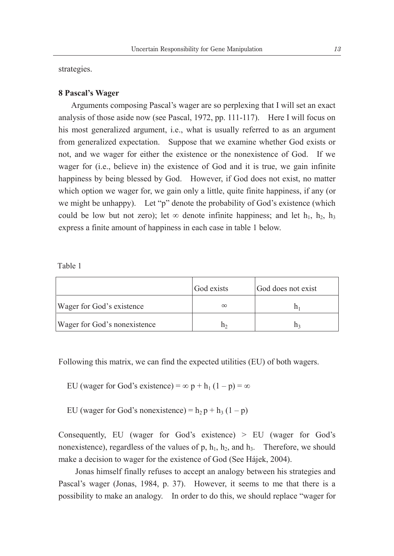strategies.

#### **8 Pascal's Wager**

 Arguments composing Pascal's wager are so perplexing that I will set an exact analysis of those aside now (see Pascal, 1972, pp. 111-117). Here I will focus on his most generalized argument, i.e., what is usually referred to as an argument from generalized expectation. Suppose that we examine whether God exists or not, and we wager for either the existence or the nonexistence of God. If we wager for (i.e., believe in) the existence of God and it is true, we gain infinite happiness by being blessed by God. However, if God does not exist, no matter which option we wager for, we gain only a little, quite finite happiness, if any (or we might be unhappy). Let "p" denote the probability of God's existence (which could be low but not zero); let  $\infty$  denote infinite happiness; and let h<sub>1</sub>, h<sub>2</sub>, h<sub>3</sub> express a finite amount of happiness in each case in table 1 below.

Table 1

|                              | God exists | God does not exist |
|------------------------------|------------|--------------------|
| Wager for God's existence    | $\infty$   |                    |
| Wager for God's nonexistence |            |                    |

Following this matrix, we can find the expected utilities (EU) of both wagers.

EU (wager for God's existence) =  $\infty$  p + h<sub>1</sub> (1 – p) =  $\infty$ 

EU (wager for God's nonexistence) =  $h_2 p + h_3 (1 - p)$ 

Consequently, EU (wager for God's existence) > EU (wager for God's nonexistence), regardless of the values of p,  $h_1$ ,  $h_2$ , and  $h_3$ . Therefore, we should make a decision to wager for the existence of God (See Hájek, 2004).

 Jonas himself finally refuses to accept an analogy between his strategies and Pascal's wager (Jonas, 1984, p. 37). However, it seems to me that there is a possibility to make an analogy. In order to do this, we should replace "wager for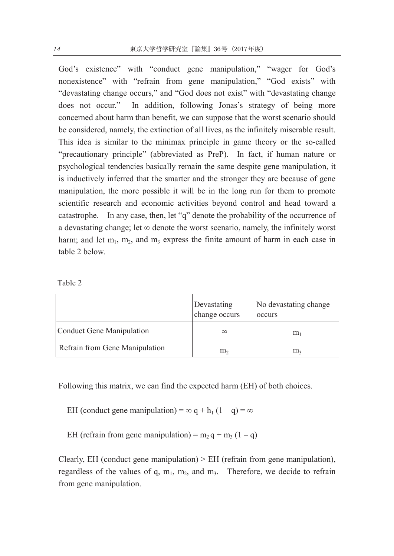God's existence" with "conduct gene manipulation," "wager for God's nonexistence" with "refrain from gene manipulation," "God exists" with "devastating change occurs," and "God does not exist" with "devastating change does not occur." In addition, following Jonas's strategy of being more concerned about harm than benefit, we can suppose that the worst scenario should be considered, namely, the extinction of all lives, as the infinitely miserable result. This idea is similar to the minimax principle in game theory or the so-called "precautionary principle" (abbreviated as PreP). In fact, if human nature or psychological tendencies basically remain the same despite gene manipulation, it is inductively inferred that the smarter and the stronger they are because of gene manipulation, the more possible it will be in the long run for them to promote scientific research and economic activities beyond control and head toward a catastrophe. In any case, then, let "q" denote the probability of the occurrence of a devastating change; let  $\infty$  denote the worst scenario, namely, the infinitely worst harm; and let  $m_1$ ,  $m_2$ , and  $m_3$  express the finite amount of harm in each case in table 2 below.

 $\overline{1}$ Table 2

|                                | Devastating<br>change occurs | No devastating change<br>occurs |
|--------------------------------|------------------------------|---------------------------------|
| Conduct Gene Manipulation      | $\infty$                     | m                               |
| Refrain from Gene Manipulation | m <sub>2</sub>               | m                               |

Following this matrix, we can find the expected harm (EH) of both choices.

- EH (conduct gene manipulation) =  $\infty$  q + h<sub>1</sub> (1 q) =  $\infty$
- EH (refrain from gene manipulation) =  $m_2 q + m_3 (1 q)$

Clearly, EH (conduct gene manipulation) > EH (refrain from gene manipulation), regardless of the values of q,  $m_1$ ,  $m_2$ , and  $m_3$ . Therefore, we decide to refrain from gene manipulation.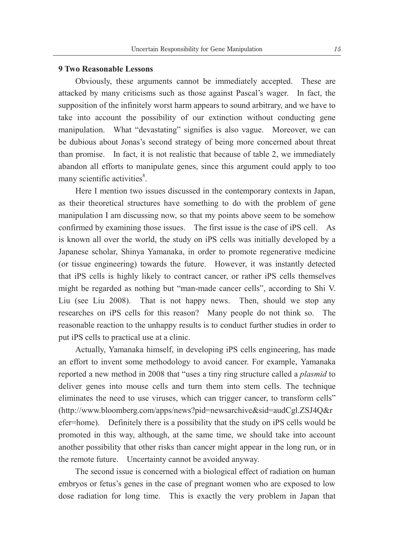# **9 Two Reasonable Lessons**

 Obviously, these arguments cannot be immediately accepted. These are attacked by many criticisms such as those against Pascal's wager. In fact, the supposition of the infinitely worst harm appears to sound arbitrary, and we have to take into account the possibility of our extinction without conducting gene manipulation. What "devastating" signifies is also vague. Moreover, we can be dubious about Jonas's second strategy of being more concerned about threat than promise. In fact, it is not realistic that because of table 2, we immediately abandon all efforts to manipulate genes, since this argument could apply to too many scientific activities<sup>8</sup>.

 Here I mention two issues discussed in the contemporary contexts in Japan, as their theoretical structures have something to do with the problem of gene manipulation I am discussing now, so that my points above seem to be somehow confirmed by examining those issues. The first issue is the case of iPS cell. As is known all over the world, the study on iPS cells was initially developed by a Japanese scholar, Shinya Yamanaka, in order to promote regenerative medicine (or tissue engineering) towards the future. However, it was instantly detected that iPS cells is highly likely to contract cancer, or rather iPS cells themselves might be regarded as nothing but "man-made cancer cells", according to Shi V. Liu (see Liu 2008). That is not happy news. Then, should we stop any researches on iPS cells for this reason? Many people do not think so. The reasonable reaction to the unhappy results is to conduct further studies in order to put iPS cells to practical use at a clinic.

Actually, Yamanaka himself, in developing iPS cells engineering, has made an effort to invent some methodology to avoid cancer. For example, Yamanaka reported a new method in 2008 that "uses a tiny ring structure called a *plasmid* to deliver genes into mouse cells and turn them into stem cells. The technique eliminates the need to use viruses, which can trigger cancer, to transform cells" (http://www.bloomberg.com/apps/news?pid=newsarchive&sid=audCgl.ZSJ4Q&r efer=home). Definitely there is a possibility that the study on iPS cells would be promoted in this way, although, at the same time, we should take into account another possibility that other risks than cancer might appear in the long run, or in the remote future. Uncertainty cannot be avoided anyway.

 The second issue is concerned with a biological effect of radiation on human embryos or fetus's genes in the case of pregnant women who are exposed to low dose radiation for long time. This is exactly the very problem in Japan that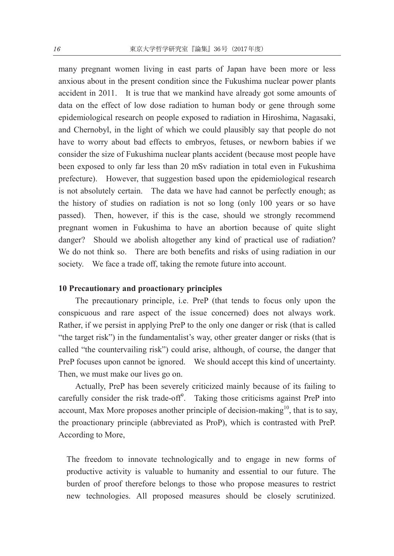many pregnant women living in east parts of Japan have been more or less anxious about in the present condition since the Fukushima nuclear power plants accident in 2011. It is true that we mankind have already got some amounts of data on the effect of low dose radiation to human body or gene through some epidemiological research on people exposed to radiation in Hiroshima, Nagasaki, and Chernobyl, in the light of which we could plausibly say that people do not have to worry about bad effects to embryos, fetuses, or newborn babies if we consider the size of Fukushima nuclear plants accident (because most people have been exposed to only far less than 20 mSv radiation in total even in Fukushima prefecture). However, that suggestion based upon the epidemiological research is not absolutely certain. The data we have had cannot be perfectly enough; as the history of studies on radiation is not so long (only 100 years or so have passed). Then, however, if this is the case, should we strongly recommend pregnant women in Fukushima to have an abortion because of quite slight danger? Should we abolish altogether any kind of practical use of radiation? We do not think so. There are both benefits and risks of using radiation in our society. We face a trade off, taking the remote future into account.

# **10 Precautionary and proactionary principles**

The precautionary principle, i.e. PreP (that tends to focus only upon the conspicuous and rare aspect of the issue concerned) does not always work. Rather, if we persist in applying PreP to the only one danger or risk (that is called "the target risk") in the fundamentalist's way, other greater danger or risks (that is called "the countervailing risk") could arise, although, of course, the danger that PreP focuses upon cannot be ignored. We should accept this kind of uncertainty. Then, we must make our lives go on.

Actually, PreP has been severely criticized mainly because of its failing to carefully consider the risk trade-off $\degree$ . Taking those criticisms against PreP into account, Max More proposes another principle of decision-making $10$ , that is to say, the proactionary principle (abbreviated as ProP), which is contrasted with PreP. According to More,

The freedom to innovate technologically and to engage in new forms of productive activity is valuable to humanity and essential to our future. The burden of proof therefore belongs to those who propose measures to restrict new technologies. All proposed measures should be closely scrutinized.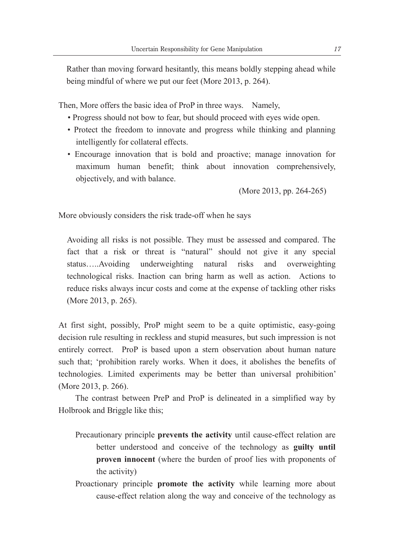Rather than moving forward hesitantly, this means boldly stepping ahead while being mindful of where we put our feet (More 2013, p. 264).

Then, More offers the basic idea of ProP in three ways. Namely,

- Progress should not bow to fear, but should proceed with eyes wide open.
- Protect the freedom to innovate and progress while thinking and planning intelligently for collateral effects.
- Encourage innovation that is bold and proactive; manage innovation for maximum human benefit; think about innovation comprehensively, objectively, and with balance.

(More 2013, pp. 264-265)

More obviously considers the risk trade-off when he says

Avoiding all risks is not possible. They must be assessed and compared. The fact that a risk or threat is "natural" should not give it any special status.....Avoiding underweighting natural risks and overweighting technological risks. Inaction can bring harm as well as action. Actions to reduce risks always incur costs and come at the expense of tackling other risks (More 2013, p. 265).

At first sight, possibly, ProP might seem to be a quite optimistic, easy-going decision rule resulting in reckless and stupid measures, but such impression is not entirely correct. ProP is based upon a stern observation about human nature such that; 'prohibition rarely works. When it does, it abolishes the benefits of technologies. Limited experiments may be better than universal prohibition' (More 2013, p. 266).

 The contrast between PreP and ProP is delineated in a simplified way by Holbrook and Briggle like this;

- Precautionary principle **prevents the activity** until cause-effect relation are better understood and conceive of the technology as **guilty until proven innocent** (where the burden of proof lies with proponents of the activity)
- Proactionary principle **promote the activity** while learning more about cause-effect relation along the way and conceive of the technology as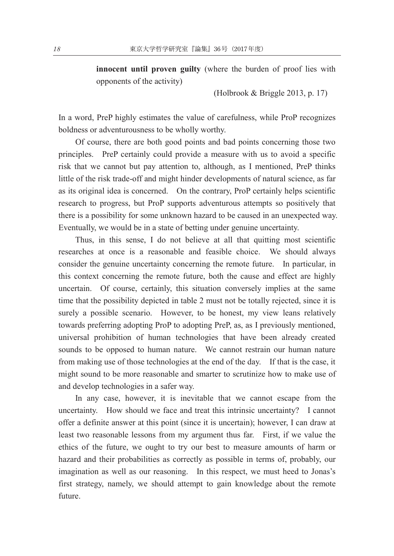**innocent until proven guilty** (where the burden of proof lies with opponents of the activity)

(Holbrook & Briggle 2013, p. 17)

In a word, PreP highly estimates the value of carefulness, while ProP recognizes boldness or adventurousness to be wholly worthy.

 Of course, there are both good points and bad points concerning those two principles. PreP certainly could provide a measure with us to avoid a specific risk that we cannot but pay attention to, although, as I mentioned, PreP thinks little of the risk trade-off and might hinder developments of natural science, as far as its original idea is concerned. On the contrary, ProP certainly helps scientific research to progress, but ProP supports adventurous attempts so positively that there is a possibility for some unknown hazard to be caused in an unexpected way. Eventually, we would be in a state of betting under genuine uncertainty.

Thus, in this sense, I do not believe at all that quitting most scientific researches at once is a reasonable and feasible choice. We should always consider the genuine uncertainty concerning the remote future. In particular, in this context concerning the remote future, both the cause and effect are highly uncertain. Of course, certainly, this situation conversely implies at the same time that the possibility depicted in table 2 must not be totally rejected, since it is surely a possible scenario. However, to be honest, my view leans relatively towards preferring adopting ProP to adopting PreP, as, as I previously mentioned, universal prohibition of human technologies that have been already created sounds to be opposed to human nature. We cannot restrain our human nature from making use of those technologies at the end of the day. If that is the case, it might sound to be more reasonable and smarter to scrutinize how to make use of and develop technologies in a safer way.

In any case, however, it is inevitable that we cannot escape from the uncertainty. How should we face and treat this intrinsic uncertainty? I cannot offer a definite answer at this point (since it is uncertain); however, I can draw at least two reasonable lessons from my argument thus far. First, if we value the ethics of the future, we ought to try our best to measure amounts of harm or hazard and their probabilities as correctly as possible in terms of, probably, our imagination as well as our reasoning. In this respect, we must heed to Jonas's first strategy, namely, we should attempt to gain knowledge about the remote future.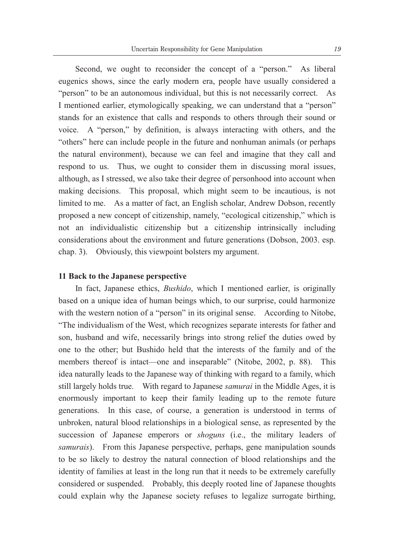Second, we ought to reconsider the concept of a "person." As liberal eugenics shows, since the early modern era, people have usually considered a "person" to be an autonomous individual, but this is not necessarily correct. As I mentioned earlier, etymologically speaking, we can understand that a "person" stands for an existence that calls and responds to others through their sound or voice. A "person," by definition, is always interacting with others, and the "others" here can include people in the future and nonhuman animals (or perhaps the natural environment), because we can feel and imagine that they call and respond to us. Thus, we ought to consider them in discussing moral issues, although, as I stressed, we also take their degree of personhood into account when making decisions. This proposal, which might seem to be incautious, is not limited to me. As a matter of fact, an English scholar, Andrew Dobson, recently proposed a new concept of citizenship, namely, "ecological citizenship," which is not an individualistic citizenship but a citizenship intrinsically including considerations about the environment and future generations (Dobson, 2003. esp. chap. 3). Obviously, this viewpoint bolsters my argument.

#### **11 Back to the Japanese perspective**

 In fact, Japanese ethics, *Bushido*, which I mentioned earlier, is originally based on a unique idea of human beings which, to our surprise, could harmonize with the western notion of a "person" in its original sense. According to Nitobe, "The individualism of the West, which recognizes separate interests for father and son, husband and wife, necessarily brings into strong relief the duties owed by one to the other; but Bushido held that the interests of the family and of the members thereof is intact—one and inseparable" (Nitobe, 2002, p. 88). This idea naturally leads to the Japanese way of thinking with regard to a family, which still largely holds true. With regard to Japanese *samurai* in the Middle Ages, it is enormously important to keep their family leading up to the remote future generations. In this case, of course, a generation is understood in terms of unbroken, natural blood relationships in a biological sense, as represented by the succession of Japanese emperors or *shoguns* (i.e., the military leaders of *samurais*). From this Japanese perspective, perhaps, gene manipulation sounds to be so likely to destroy the natural connection of blood relationships and the identity of families at least in the long run that it needs to be extremely carefully considered or suspended. Probably, this deeply rooted line of Japanese thoughts could explain why the Japanese society refuses to legalize surrogate birthing,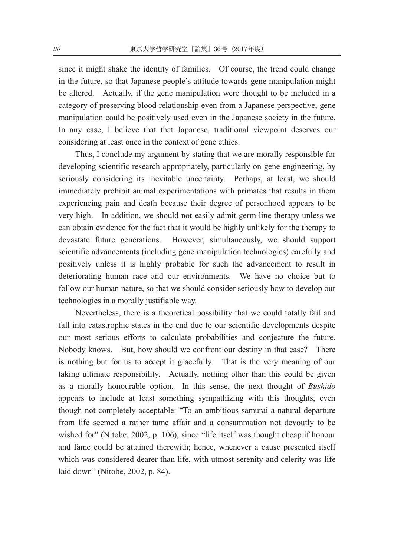since it might shake the identity of families. Of course, the trend could change in the future, so that Japanese people's attitude towards gene manipulation might be altered. Actually, if the gene manipulation were thought to be included in a category of preserving blood relationship even from a Japanese perspective, gene manipulation could be positively used even in the Japanese society in the future. In any case, I believe that that Japanese, traditional viewpoint deserves our considering at least once in the context of gene ethics.

 Thus, I conclude my argument by stating that we are morally responsible for developing scientific research appropriately, particularly on gene engineering, by seriously considering its inevitable uncertainty. Perhaps, at least, we should immediately prohibit animal experimentations with primates that results in them experiencing pain and death because their degree of personhood appears to be very high. In addition, we should not easily admit germ-line therapy unless we can obtain evidence for the fact that it would be highly unlikely for the therapy to devastate future generations. However, simultaneously, we should support scientific advancements (including gene manipulation technologies) carefully and positively unless it is highly probable for such the advancement to result in deteriorating human race and our environments. We have no choice but to follow our human nature, so that we should consider seriously how to develop our technologies in a morally justifiable way.

 Nevertheless, there is a theoretical possibility that we could totally fail and fall into catastrophic states in the end due to our scientific developments despite our most serious efforts to calculate probabilities and conjecture the future. Nobody knows. But, how should we confront our destiny in that case? There is nothing but for us to accept it gracefully. That is the very meaning of our taking ultimate responsibility. Actually, nothing other than this could be given as a morally honourable option. In this sense, the next thought of *Bushido* appears to include at least something sympathizing with this thoughts, even though not completely acceptable: "To an ambitious samurai a natural departure from life seemed a rather tame affair and a consummation not devoutly to be wished for" (Nitobe, 2002, p. 106), since "life itself was thought cheap if honour and fame could be attained therewith; hence, whenever a cause presented itself which was considered dearer than life, with utmost serenity and celerity was life laid down" (Nitobe, 2002, p. 84).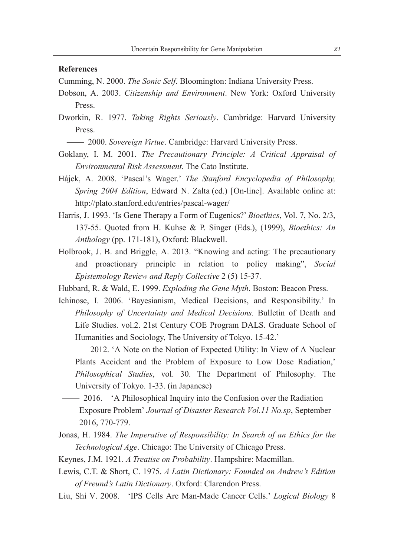#### **References**

Cumming, N. 2000. *The Sonic Self*. Bloomington: Indiana University Press.

- Dobson, A. 2003. *Citizenship and Environment*. New York: Oxford University Press.
- Dworkin, R. 1977. *Taking Rights Seriously*. Cambridge: Harvard University Press.

— 2000. *Sovereign Virtue*. Cambridge: Harvard University Press.

- Goklany, I. M. 2001. *The Precautionary Principle: A Critical Appraisal of Environmental Risk Assessment*. The Cato Institute.
- Hájek, A. 2008. 'Pascal's Wager.' *The Stanford Encyclopedia of Philosophy, Spring 2004 Edition*, Edward N. Zalta (ed.) [On-line]. Available online at: http://plato.stanford.edu/entries/pascal-wager/
- Harris, J. 1993. 'Is Gene Therapy a Form of Eugenics?' *Bioethics*, Vol. 7, No. 2/3, 137-55. Quoted from H. Kuhse & P. Singer (Eds.), (1999), *Bioethics: An Anthology* (pp. 171-181), Oxford: Blackwell.
- Holbrook, J. B. and Briggle, A. 2013. "Knowing and acting: The precautionary and proactionary principle in relation to policy making", *Social Epistemology Review and Reply Collective* 2 (5) 15-37.
- Hubbard, R. & Wald, E. 1999. *Exploding the Gene Myth*. Boston: Beacon Press.
- Ichinose, I. 2006. 'Bayesianism, Medical Decisions, and Responsibility.' In *Philosophy of Uncertainty and Medical Decisions.* Bulletin of Death and Life Studies. vol.2. 21st Century COE Program DALS. Graduate School of Humanities and Sociology, The University of Tokyo. 15-42.'
	- 2012. 'A Note on the Notion of Expected Utility: In View of A Nuclear Plants Accident and the Problem of Exposure to Low Dose Radiation,' *Philosophical Studies*, vol. 30. The Department of Philosophy. The University of Tokyo. 1-33. (in Japanese)
- 2016. 'A Philosophical Inquiry into the Confusion over the Radiation Exposure Problem' *Journal of Disaster Research Vol.11 No.sp*, September 2016, 770-779.
- Jonas, H. 1984. *The Imperative of Responsibility: In Search of an Ethics for the Technological Age*. Chicago: The University of Chicago Press.
- Keynes, J.M. 1921. *A Treatise on Probability*. Hampshire: Macmillan.
- Lewis, C.T. & Short, C. 1975. *A Latin Dictionary: Founded on Andrew's Edition of Freund's Latin Dictionary*. Oxford: Clarendon Press.
- Liu, Shi V. 2008. 'IPS Cells Are Man-Made Cancer Cells.' *Logical Biology* 8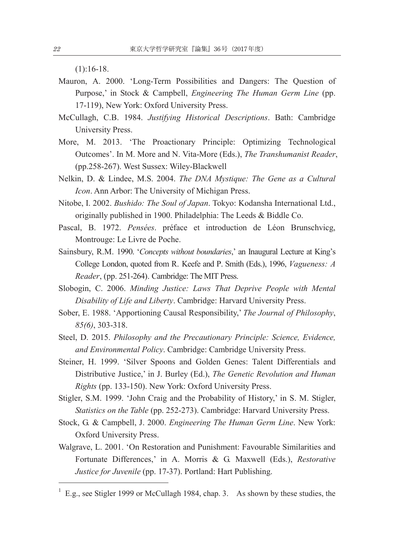$(1):16-18.$ 

- Mauron, A. 2000. 'Long-Term Possibilities and Dangers: The Question of Purpose,' in Stock & Campbell, *Engineering The Human Germ Line* (pp. 17-119), New York: Oxford University Press.
- McCullagh, C.B. 1984. *Justifying Historical Descriptions*. Bath: Cambridge University Press.
- More, M. 2013. 'The Proactionary Principle: Optimizing Technological Outcomes'. In M. More and N. Vita-More (Eds.), *The Transhumanist Reader*, (pp.258-267). West Sussex: Wiley-Blackwell
- Nelkin, D. & Lindee, M.S. 2004. *The DNA Mystique: The Gene as a Cultural Icon*. Ann Arbor: The University of Michigan Press.
- Nitobe, I. 2002. *Bushido: The Soul of Japan*. Tokyo: Kodansha International Ltd., originally published in 1900. Philadelphia: The Leeds & Biddle Co.
- Pascal, B. 1972. *Pensées*. préface et introduction de Léon Brunschvicg, Montrouge: Le Livre de Poche.
- Sainsbury, R.M. 1990. '*Concepts without boundaries*,' an Inaugural Lecture at King's College London, quoted from R. Keefe and P. Smith (Eds.), 1996, *Vagueness: A Reader*, (pp. 251-264). Cambridge: The MIT Press.
- Slobogin, C. 2006. *Minding Justice: Laws That Deprive People with Mental Disability of Life and Liberty*. Cambridge: Harvard University Press.
- Sober, E. 1988. 'Apportioning Causal Responsibility,' *The Journal of Philosophy*, *85(6)*, 303-318.
- Steel, D. 2015. *Philosophy and the Precautionary Principle: Science, Evidence, and Environmental Policy*. Cambridge: Cambridge University Press.
- Steiner, H. 1999. 'Silver Spoons and Golden Genes: Talent Differentials and Distributive Justice,' in J. Burley (Ed.), *The Genetic Revolution and Human Rights* (pp. 133-150). New York: Oxford University Press.
- Stigler, S.M. 1999. 'John Craig and the Probability of History,' in S. M. Stigler, *Statistics on the Table* (pp. 252-273). Cambridge: Harvard University Press.
- Stock, G. & Campbell, J. 2000. *Engineering The Human Germ Line*. New York: Oxford University Press.
- Walgrave, L. 2001. 'On Restoration and Punishment: Favourable Similarities and Fortunate Differences,' in A. Morris & G. Maxwell (Eds.), *Restorative Justice for Juvenile* (pp. 17-37). Portland: Hart Publishing.

 $<sup>1</sup>$  E.g., see Stigler 1999 or McCullagh 1984, chap. 3. As shown by these studies, the</sup>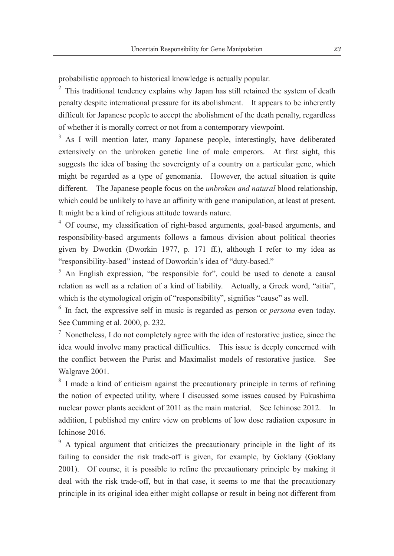probabilistic approach to historical knowledge is actually popular.

 $2$  This traditional tendency explains why Japan has still retained the system of death penalty despite international pressure for its abolishment. It appears to be inherently difficult for Japanese people to accept the abolishment of the death penalty, regardless of whether it is morally correct or not from a contemporary viewpoint.

<sup>3</sup> As I will mention later, many Japanese people, interestingly, have deliberated extensively on the unbroken genetic line of male emperors. At first sight, this suggests the idea of basing the sovereignty of a country on a particular gene, which might be regarded as a type of genomania. However, the actual situation is quite different. The Japanese people focus on the *unbroken and natural* blood relationship, which could be unlikely to have an affinity with gene manipulation, at least at present. It might be a kind of religious attitude towards nature.

<sup>4</sup> Of course, my classification of right-based arguments, goal-based arguments, and responsibility-based arguments follows a famous division about political theories given by Dworkin (Dworkin 1977, p. 171 ff.), although I refer to my idea as "responsibility-based" instead of Doworkin's idea of "duty-based."

 $5$  An English expression, "be responsible for", could be used to denote a causal relation as well as a relation of a kind of liability. Actually, a Greek word, "aitia", which is the etymological origin of "responsibility", signifies "cause" as well.

<sup>6</sup> In fact, the expressive self in music is regarded as person or *persona* even today. See Cumming et al. 2000, p. 232.

 $\frac{7}{1}$  Nonetheless, I do not completely agree with the idea of restorative justice, since the idea would involve many practical difficulties. This issue is deeply concerned with the conflict between the Purist and Maximalist models of restorative justice. See Walgrave 2001.

<sup>8</sup> I made a kind of criticism against the precautionary principle in terms of refining the notion of expected utility, where I discussed some issues caused by Fukushima nuclear power plants accident of 2011 as the main material. See Ichinose 2012. In addition, I published my entire view on problems of low dose radiation exposure in Ichinose 2016.

<sup>9</sup> A typical argument that criticizes the precautionary principle in the light of its failing to consider the risk trade-off is given, for example, by Goklany (Goklany 2001). Of course, it is possible to refine the precautionary principle by making it deal with the risk trade-off, but in that case, it seems to me that the precautionary principle in its original idea either might collapse or result in being not different from